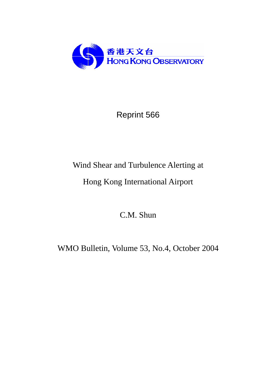

# Reprint 566

# Wind Shear and Turbulence Alerting at

# Hong Kong International Airport

C.M. Shun

WMO Bulletin, Volume 53, No.4, October 2004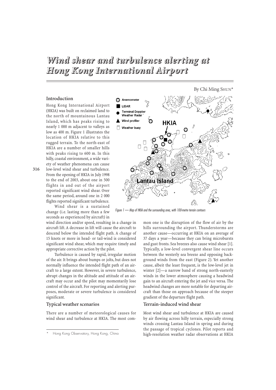# *Wind shear and turbulence alerting at Hong Kong International Airport*

### **Introduction**

Hong Kong International Airport (HKIA) was built on reclaimed land to the north of mountainous Lantau Island, which has peaks rising to nearly 1 000 m adjacent to valleys as low as 400 m. Figure 1 illustrates the location of HKIA relative to this rugged terrain. To the north-east of HKIA are a number of smaller hills with peaks rising to 600 m. In this hilly, coastal environment, a wide variety of weather phenomena can cause

low-level wind shear and turbulence. From the opening of HKIA in July 1998 to the end of 2003, about one in 500 flights in and out of the airport reported significant wind shear. Over the same period, around one in 2 000 flights reported significant turbulence.

Wind shear is a sustained change (i.e. lasting more than a few seconds as experienced by aircraft) in

wind direction and/or speed, resulting in a change in aircraft lift. A decrease in lift will cause the aircraft to descend below the intended flight path. A change of 15 knots or more in head- or tail-wind is considered significant wind shear, which may require timely and appropriate corrective action by the pilot.

Turbulence is caused by rapid, irregular motion of the air. It brings about bumps or jolts, but does not normally influence the intended flight path of an aircraft to a large extent. However, in severe turbulence, abrupt changes in the altitude and attitude of an aircraft may occur and the pilot may momentarily lose control of the aircraft. For reporting and alerting purposes, moderate or severe turbulence is considered significant.

#### **Typical weather scenarios**

There are a number of meteorological causes for wind shear and turbulence at HKIA. The most com-



By Chi Ming SHUN<sup>\*</sup>

*Figure 1 — Map of HKIA and the surrounding area, with 100-metre terrain contours*

mon one is the disruption of the flow of air by the hills surrounding the airport. Thunderstorms are another cause—occurring at HKIA on an average of 37 days a year—because they can bring microbursts and gust fronts. Sea breezes also cause wind shear [1]. Typically, a low-level convergent shear line occurs between the westerly sea breeze and opposing background winds from the east (Figure 2). Yet another cause, albeit the least frequent, is the low-level jet in winter [2]—a narrow band of strong north-easterly winds in the lower atmosphere causing a headwind gain to an aircraft entering the jet and vice versa. The headwind changes are more notable for departing aircraft than those on approach because of the steeper gradient of the departure flight path.

#### **Terrain-induced wind shear**

Most wind shear and turbulence at HKIA are caused by air flowing across hilly terrain, especially strong winds crossing Lantau Island in spring and during the passage of tropical cyclones. Pilot reports and high-resolution weather radar observations at HKIA

**316**

Hong Kong Observatory, Hong Kong, China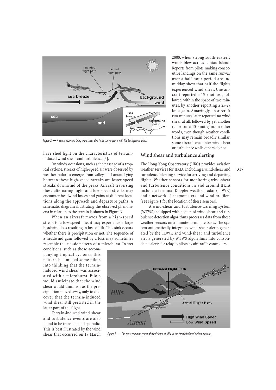

*Figure 2 — A sea breeze can bring wind shear due to its convergence with the background wind.*

have shed light on the characteristics of terraininduced wind shear and turbulence [3].

On windy occasions, such as the passage of a tropical cyclone, streaks of high-speed air were observed by weather radar to emerge from valleys of Lantau. Lying between these high-speed streaks are lower speed streaks downwind of the peaks. Aircraft traversing these alternating high- and low-speed streaks may encounter headwind losses and gains at different locations along the approach and departure paths. A schematic diagram illustrating the observed phenomena in relation to the terrain is shown in Figure 3.

When an aircraft moves from a high-speed streak to a low-speed one, it may experience a large headwind loss resulting in loss of lift. This sink occurs whether there is precipitation or not. The sequence of a headwind gain followed by a loss may sometimes resemble the classic pattern of a microburst. In wet

conditions, such as those accompanying tropical cyclones, this pattern has misled some pilots into thinking that the terraininduced wind shear was associated with a microburst. Pilots would anticipate that the wind shear would diminish as the precipitation moved away, only to discover that the terrain-induced wind shear still persisted in the latter part of the flight.

Terrain-induced wind shear and turbulence events are also found to be transient and sporadic. This is best illustrated by the wind shear that occurred on 17 March

2000, when strong south-easterly winds blew across Lantau Island. Reports from pilots making consecutive landings on the same runway over a half-hour period around midday show that half the flights experienced wind shear. One aircraft reported a 15-knot loss, followed, within the space of two minutes, by another reporting a 25-29 knot gain. Amazingly, an aircraft two minutes later reported no wind shear at all, followed by yet another report of a 15-knot gain. In other words, even though weather conditions may remain broadly similar, some aircraft encounter wind shear or turbulence while others do not.

### **Wind shear and turbulence alerting**

The Hong Kong Observatory (HKO) provides aviation weather services for HKIA, including a wind-shear and turbulence-alerting service for arriving and departing flights. Weather sensors for monitoring wind-shear and turbulence conditions in and around HKIA include a terminal Doppler weather radar (TDWR) and a network of anemometers and wind profilers (see Figure 1 for the location of these sensors).

A wind-shear and turbulence-warning system (WTWS) equipped with a suite of wind shear and turbulence detection algorithms processes data from these weather sensors on a minute-to-minute basis. The system automatically integrates wind-shear alerts generated by the TDWR and wind-shear and turbulence alerts generated by WTWS algorithms into consolidated alerts for relay to pilots by air traffic controllers.



*Figure 3 — The most common cause of wind shear at KHIA is the terrain-induced airflow pattern.*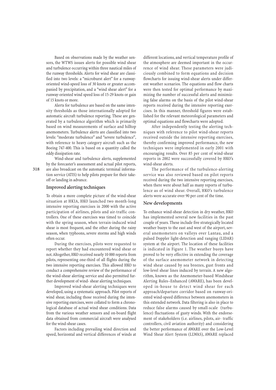Based on observations made by the weather sensors, the WTWS issues alerts for possible wind shear and turbulence occurring within three nautical miles of the runway thresholds. Alerts for wind shear are classified into two levels: a "microburst alert" for a runwayoriented wind-speed loss of 30 knots or greater accompanied by precipitation, and a "wind shear alert" for a runway-oriented wind speed loss of 15-29 knots or gain of 15 knots or more.

Alerts for turbulence are based on the same intensity thresholds as those internationally adopted for automatic aircraft turbulence reporting. These are generated by a turbulence algorithm which is primarily based on wind measurements of surface and hilltop anemometers. Turbulence alerts are classified into two levels: "moderate turbulence" and "severe turbulence", with reference to heavy category aircraft such as the Boeing 747-400. This is based on a quantity called the eddy dissipation rate.

Wind-shear and turbulence alerts, supplemented by the forecaster's assessment and actual pilot reports, are also broadcast on the automatic terminal information service (ATIS) to help pilots prepare for their takeoff or landing in advance.

### **Improved alerting techniques**

To obtain a more complete picture of the wind-shear situation at HKIA, HKO launched two month-long intensive reporting exercises in 2000 with the active participation of airlines, pilots and air-traffic controllers. One of these exercises was timed to coincide with the spring season, when terrain-induced wind shear is most frequent, and the other during the rainy season, when typhoons, severe storms and high winds often occur.

During the exercises, pilots were requested to report whether they had encountered wind shear or not.Altogether, HKO received nearly 10 000 reports from pilots, representing one-third of all flights during the two intensive reporting exercises. This allowed HKO to conduct a comprehensive review of the performance of the wind-shear alerting service and also permitted further development of wind- shear alerting techniques.

Improved wind-shear alerting techniques were developed, using a systematic approach. Pilot reports of wind shear, including those received during the intensive reporting exercises, were collated to form a chronological database of actual wind shear conditions. Data from the various weather sensors and on-board flight data obtained from commercial aircraft were analysed for the wind-shear cases.

Factors including prevailing wind direction and speed, horizontal and vertical differences of winds at

different locations, and vertical temperature profile of the atmosphere are deemed important in the occurrence of wind shear. These parameters were judiciously combined to form equations and decision flowcharts for issuing wind-shear alerts under different weather scenarios. The equations and flow charts were then tested for optimal performance by maximizing the number of successful alerts and minimizing false alarms on the basis of the pilot wind-shear reports received during the intensive reporting exercises. In this manner, threshold figures were established for the relevant meteorological parameters and optimal equations and flowcharts were adopted.

After independently testing the alerting techniques with reference to pilot wind-shear reports received outside the intensive reporting exercises, thereby confirming improved performance, the new techniques were implemented in early 2001 with encouraging results. Over 85 per cent of wind-shear reports in 2002 were successfully covered by HKO's wind-shear alerts.

The performance of the turbulence-alerting service was also reviewed based on pilot reports received during the two intensive reporting exercises, when there were about half as many reports of turbulence as of wind shear. Overall, HKO's turbulence alerts were accurate over 90 per cent of the time.

#### **New developments**

To enhance wind-shear detection in dry weather, HKO has implemented several new facilities in the past couple of years. These include five strategically located weather buoys to the east and west of the airport, several anemometers on valleys over Lantau, and a pulsed Doppler light-detection and ranging (LIDAR) system at the airport. The location of these facilities is indicated in Figure 1. The weather buoys have proved to be very effective in extending the coverage of the surface anemometer network in detecting wind shear caused by sea breezes, gust fronts and low-level shear lines induced by terrain. A new algorithm, known as the Anemometer-based Windshear Alerting Rules–Enhanced (AWARE), has been developed in-house to detect wind shear for each approach/departure corridor based on runway-oriented wind-speed difference between anemometers in this extended network. Data filtering is also in place to reduce false alarms caused by small-scale (turbulence) fluctuations of gusty winds. With the endorsement of stakeholders (i.e. airlines, pilots, air- traffic controllers, civil aviation authority) and considering the better performance of AWARE over the Low-Level Wind Shear Alert System (LLWAS), AWARE replaced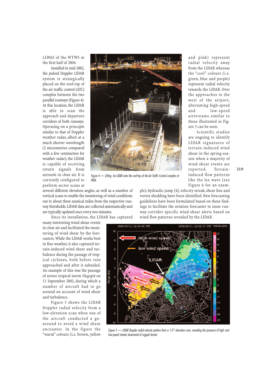LLWAS of the WTWS in the first half of 2004.

Installed in mid-2002, the pulsed Doppler LIDAR system is strategically placed on the roof-top of the air traffic control (ATC) complex between the two parallel runways (Figure 4). At this location, the LIDAR is able to scan the approach and departure corridors of both runways. Operating on a principle similar to that of Doppler weather radar, albeit at a much shorter wavelength (2 micrometres compared with a few centimetres for weather radar), the LIDAR is capable of receiving return signals from aerosols in clear air. It is currently configured to perform sector scans at



*Figure 4 — Lifting he LIDAR onto the roof-top of the Air Traffic Control complex at HKIA*

several different elevation angles, as well as a number of vertical scans to enable the monitoring of wind conditions out to about three nautical miles from the respective runway thresholds.LIDAR data are collected automatically and are typically updated once every two minutes.

Since its installation, the LIDAR has captured

many interesting wind-shear events in clear air and facilitated the monitoring of wind shear by the forecasters. While the LIDAR works best in fine weather, it also captured terrain-induced wind shear and turbulence during the passage of tropical cyclones, both before rain approached and after it subsided. An example of this was the passage of severe tropical storm *Hagupit* on 11 September 2002, during which a number of aircraft had to go around on account of wind shear and turbulence.

Figure 5 shows the LIDAR Doppler radial velocity from a low-elevation scan when one of the aircraft conducted a goaround to avoid a wind shear encounter. In the figure the "warm" colours (i.e. brown, yellow

ple), hydraulic jump [4], velocity streak, shear line and vortex shedding have been identified. New forecasting guidelines have been formulated based on these findings to facilitate the aviation forecaster to issue runwind flow patterns revealed by the LIDAR.



*Figure 5 — LIDAR Doppler radial velocity pattern from a 1.0° elevation scan, revealing the presence of high- and low-speed streaks downwind of rugged terrain*

and pink) represent radial velocity away from the LIDAR whereas the "cool" colours (i.e. green, blue and purple) represent radial velocity towards the LIDAR. Over the approaches to the west of the airport, alternating high-speed and low-speed airstreams similar to those illustrated in Figure 3 can be seen.

Scientific studies are ongoing to identify LIDAR signatures of terrain-induced wind shear in the spring season when a majority of wind-shear events are reported. Terraininduced flow patterns like the lee wave (see Figure 6 for an exam-

**319**